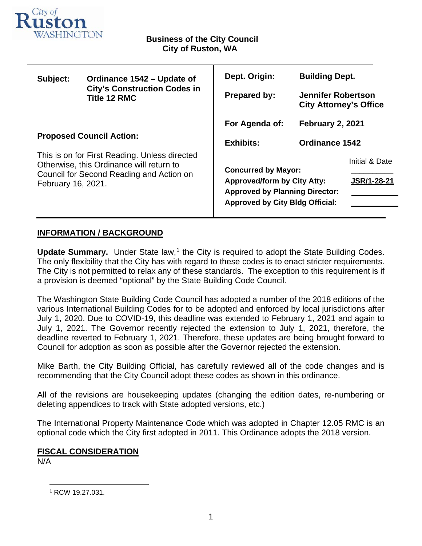

т

| Subject:                                                                                                                                                    | Ordinance 1542 – Update of<br><b>City's Construction Codes in</b><br><b>Title 12 RMC</b> | Dept. Origin:                                                                                             | <b>Building Dept.</b>                                      |                                      |
|-------------------------------------------------------------------------------------------------------------------------------------------------------------|------------------------------------------------------------------------------------------|-----------------------------------------------------------------------------------------------------------|------------------------------------------------------------|--------------------------------------|
|                                                                                                                                                             |                                                                                          | <b>Prepared by:</b>                                                                                       | <b>Jennifer Robertson</b><br><b>City Attorney's Office</b> |                                      |
| <b>Proposed Council Action:</b>                                                                                                                             |                                                                                          | For Agenda of:                                                                                            | <b>February 2, 2021</b>                                    |                                      |
|                                                                                                                                                             |                                                                                          | <b>Exhibits:</b>                                                                                          | <b>Ordinance 1542</b>                                      |                                      |
| This is on for First Reading. Unless directed<br>Otherwise, this Ordinance will return to<br>Council for Second Reading and Action on<br>February 16, 2021. |                                                                                          | <b>Concurred by Mayor:</b><br><b>Approved/form by City Atty:</b><br><b>Approved by Planning Director:</b> |                                                            | Initial & Date<br><b>JSR/1-28-21</b> |
|                                                                                                                                                             |                                                                                          | <b>Approved by City Bldg Official:</b>                                                                    |                                                            |                                      |

## **INFORMATION / BACKGROUND**

**Update Summary.** Under State law,<sup>[1](#page-0-0)</sup> the City is required to adopt the State Building Codes. The only flexibility that the City has with regard to these codes is to enact stricter requirements. The City is not permitted to relax any of these standards. The exception to this requirement is if a provision is deemed "optional" by the State Building Code Council.

The Washington State Building Code Council has adopted a number of the 2018 editions of the various International Building Codes for to be adopted and enforced by local jurisdictions after July 1, 2020. Due to COVID-19, this deadline was extended to February 1, 2021 and again to July 1, 2021. The Governor recently rejected the extension to July 1, 2021, therefore, the deadline reverted to February 1, 2021. Therefore, these updates are being brought forward to Council for adoption as soon as possible after the Governor rejected the extension.

Mike Barth, the City Building Official, has carefully reviewed all of the code changes and is recommending that the City Council adopt these codes as shown in this ordinance.

All of the revisions are housekeeping updates (changing the edition dates, re-numbering or deleting appendices to track with State adopted versions, etc.)

The International Property Maintenance Code which was adopted in Chapter 12.05 RMC is an optional code which the City first adopted in 2011. This Ordinance adopts the 2018 version.

### **FISCAL CONSIDERATION**

<span id="page-0-0"></span>N/A

<sup>1</sup> RCW 19.27.031.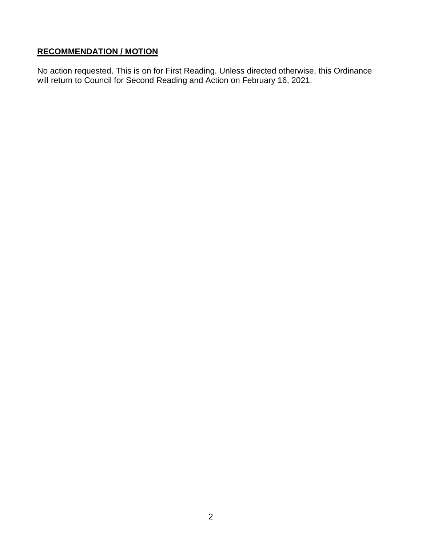# **RECOMMENDATION / MOTION**

No action requested. This is on for First Reading. Unless directed otherwise, this Ordinance will return to Council for Second Reading and Action on February 16, 2021.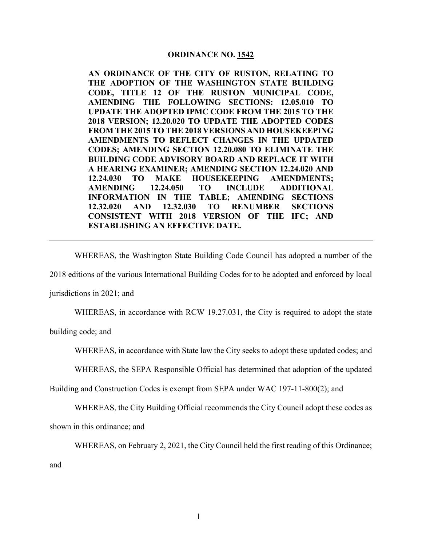#### **ORDINANCE NO. 1542**

**AN ORDINANCE OF THE CITY OF RUSTON, RELATING TO THE ADOPTION OF THE WASHINGTON STATE BUILDING CODE, TITLE 12 OF THE RUSTON MUNICIPAL CODE, AMENDING THE FOLLOWING SECTIONS: 12.05.010 TO UPDATE THE ADOPTED IPMC CODE FROM THE 2015 TO THE 2018 VERSION; 12.20.020 TO UPDATE THE ADOPTED CODES FROM THE 2015 TO THE 2018 VERSIONS AND HOUSEKEEPING AMENDMENTS TO REFLECT CHANGES IN THE UPDATED CODES; AMENDING SECTION 12.20.080 TO ELIMINATE THE BUILDING CODE ADVISORY BOARD AND REPLACE IT WITH A HEARING EXAMINER; AMENDING SECTION 12.24.020 AND 12.24.030 TO MAKE HOUSEKEEPING AMENDMENTS; AMENDING 12.24.050 TO INCLUDE ADDITIONAL INFORMATION IN THE TABLE; AMENDING SECTIONS 12.32.020 AND 12.32.030 TO RENUMBER SECTIONS CONSISTENT WITH 2018 VERSION OF THE IFC; AND ESTABLISHING AN EFFECTIVE DATE.**

WHEREAS, the Washington State Building Code Council has adopted a number of the

2018 editions of the various International Building Codes for to be adopted and enforced by local

jurisdictions in 2021; and

WHEREAS, in accordance with RCW 19.27.031, the City is required to adopt the state

building code; and

WHEREAS, in accordance with State law the City seeks to adopt these updated codes; and

WHEREAS, the SEPA Responsible Official has determined that adoption of the updated

Building and Construction Codes is exempt from SEPA under WAC 197-11-800(2); and

WHEREAS, the City Building Official recommends the City Council adopt these codes as

shown in this ordinance; and

WHEREAS, on February 2, 2021, the City Council held the first reading of this Ordinance;

and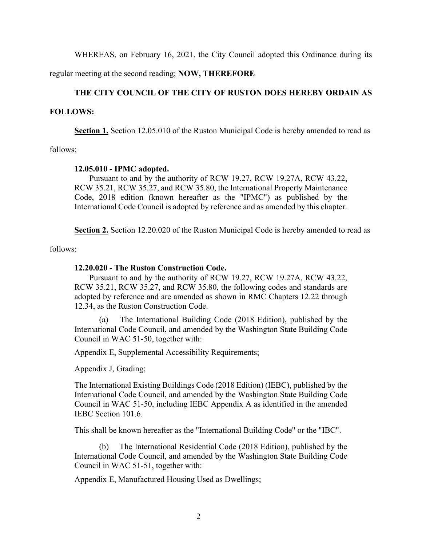WHEREAS, on February 16, 2021, the City Council adopted this Ordinance during its

regular meeting at the second reading; **NOW, THEREFORE**

### **THE CITY COUNCIL OF THE CITY OF RUSTON DOES HEREBY ORDAIN AS**

#### **FOLLOWS:**

**Section 1.** Section 12.05.010 of the Ruston Municipal Code is hereby amended to read as

follows:

#### **12.05.010 - IPMC adopted.**

Pursuant to and by the authority of RCW 19.27, RCW 19.27A, RCW 43.22, RCW 35.21, RCW 35.27, and RCW 35.80, the International Property Maintenance Code, 2018 edition (known hereafter as the "IPMC") as published by the International Code Council is adopted by reference and as amended by this chapter.

**Section 2.** Section 12.20.020 of the Ruston Municipal Code is hereby amended to read as

follows:

#### **12.20.020 - The Ruston Construction Code.**

Pursuant to and by the authority of RCW 19.27, RCW 19.27A, RCW 43.22, RCW 35.21, RCW 35.27, and RCW 35.80, the following codes and standards are adopted by reference and are amended as shown in RMC Chapters 12.22 through 12.34, as the Ruston Construction Code.

(a) The International Building Code (2018 Edition), published by the International Code Council, and amended by the Washington State Building Code Council in WAC 51-50, together with:

Appendix E, Supplemental Accessibility Requirements;

Appendix J, Grading;

The International Existing Buildings Code (2018 Edition) (IEBC), published by the International Code Council, and amended by the Washington State Building Code Council in WAC 51-50, including IEBC Appendix A as identified in the amended IEBC Section 101.6.

This shall be known hereafter as the "International Building Code" or the "IBC".

(b) The International Residential Code (2018 Edition), published by the International Code Council, and amended by the Washington State Building Code Council in WAC 51-51, together with:

Appendix E, Manufactured Housing Used as Dwellings;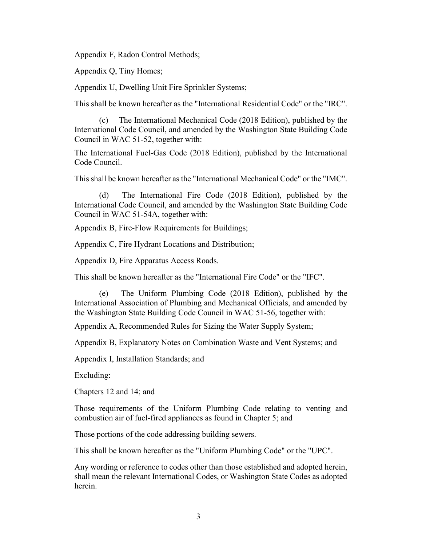Appendix F, Radon Control Methods;

Appendix Q, Tiny Homes;

Appendix U, Dwelling Unit Fire Sprinkler Systems;

This shall be known hereafter as the "International Residential Code" or the "IRC".

(c) The International Mechanical Code (2018 Edition), published by the International Code Council, and amended by the Washington State Building Code Council in WAC 51-52, together with:

The International Fuel-Gas Code (2018 Edition), published by the International Code Council.

This shall be known hereafter as the "International Mechanical Code" or the "IMC".

(d) The International Fire Code (2018 Edition), published by the International Code Council, and amended by the Washington State Building Code Council in WAC 51-54A, together with:

Appendix B, Fire-Flow Requirements for Buildings;

Appendix C, Fire Hydrant Locations and Distribution;

Appendix D, Fire Apparatus Access Roads.

This shall be known hereafter as the "International Fire Code" or the "IFC".

(e) The Uniform Plumbing Code (2018 Edition), published by the International Association of Plumbing and Mechanical Officials, and amended by the Washington State Building Code Council in WAC 51-56, together with:

Appendix A, Recommended Rules for Sizing the Water Supply System;

Appendix B, Explanatory Notes on Combination Waste and Vent Systems; and

Appendix I, Installation Standards; and

Excluding:

Chapters 12 and 14; and

Those requirements of the Uniform Plumbing Code relating to venting and combustion air of fuel-fired appliances as found in Chapter 5; and

Those portions of the code addressing building sewers.

This shall be known hereafter as the "Uniform Plumbing Code" or the "UPC".

Any wording or reference to codes other than those established and adopted herein, shall mean the relevant International Codes, or Washington State Codes as adopted herein.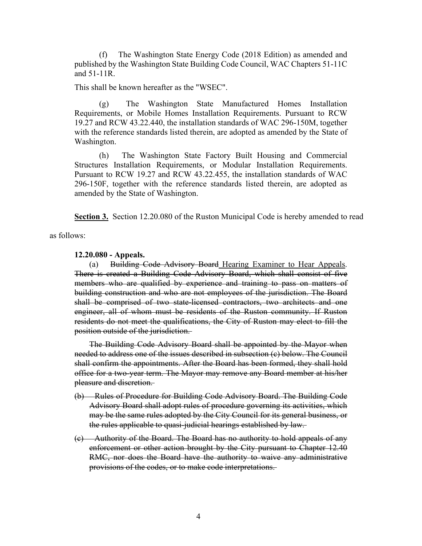(f) The Washington State Energy Code (2018 Edition) as amended and published by the Washington State Building Code Council, WAC Chapters 51-11C and 51-11R.

This shall be known hereafter as the "WSEC".

(g) The Washington State Manufactured Homes Installation Requirements, or Mobile Homes Installation Requirements. Pursuant to RCW 19.27 and RCW 43.22.440, the installation standards of WAC 296-150M, together with the reference standards listed therein, are adopted as amended by the State of Washington.

(h) The Washington State Factory Built Housing and Commercial Structures Installation Requirements, or Modular Installation Requirements. Pursuant to RCW 19.27 and RCW 43.22.455, the installation standards of WAC 296-150F, together with the reference standards listed therein, are adopted as amended by the State of Washington.

**Section 3.** Section 12.20.080 of the Ruston Municipal Code is hereby amended to read

as follows:

**12.20.080 - Appeals.** 

(a) Building Code Advisory Board Hearing Examiner to Hear Appeals. There is created a Building Code Advisory Board, which shall consist of five members who are qualified by experience and training to pass on matters of building construction and who are not employees of the jurisdiction. The Board shall be comprised of two state-licensed contractors, two architects and one engineer, all of whom must be residents of the Ruston community. If Ruston residents do not meet the qualifications, the City of Ruston may elect to fill the position outside of the jurisdiction.

The Building Code Advisory Board shall be appointed by the Mayor when needed to address one of the issues described in subsection (c) below. The Council shall confirm the appointments. After the Board has been formed, they shall hold office for a two-year term. The Mayor may remove any Board member at his/her pleasure and discretion.

- (b) Rules of Procedure for Building Code Advisory Board. The Building Code Advisory Board shall adopt rules of procedure governing its activities, which may be the same rules adopted by the City Council for its general business, or the rules applicable to quasi-judicial hearings established by law.
- (c) Authority of the Board. The Board has no authority to hold appeals of any enforcement or other action brought by the City pursuant to Chapter 12.40 RMC, nor does the Board have the authority to waive any administrative provisions of the codes, or to make code interpretations.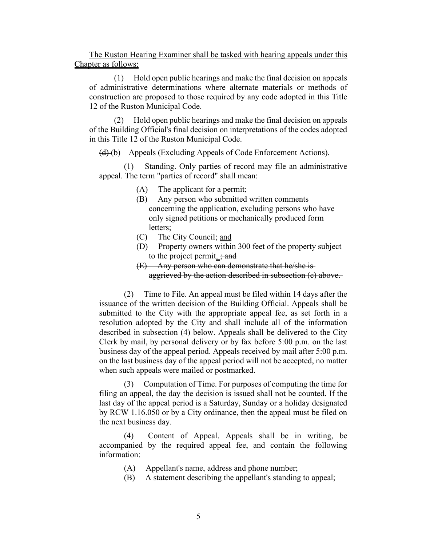The Ruston Hearing Examiner shall be tasked with hearing appeals under this Chapter as follows:

(1) Hold open public hearings and make the final decision on appeals of administrative determinations where alternate materials or methods of construction are proposed to those required by any code adopted in this Title 12 of the Ruston Municipal Code.

(2) Hold open public hearings and make the final decision on appeals of the Building Official's final decision on interpretations of the codes adopted in this Title 12 of the Ruston Municipal Code.

(d) (b) Appeals (Excluding Appeals of Code Enforcement Actions).

(1) Standing. Only parties of record may file an administrative appeal. The term "parties of record" shall mean:

- (A) The applicant for a permit;
- (B) Any person who submitted written comments concerning the application, excluding persons who have only signed petitions or mechanically produced form letters;
- (C) The City Council; and
- (D) Property owners within 300 feet of the property subject to the project permit.  $\frac{1}{2}$  and
- (E) Any person who can demonstrate that he/she is aggrieved by the action described in subsection (c) above.

(2) Time to File. An appeal must be filed within 14 days after the issuance of the written decision of the Building Official. Appeals shall be submitted to the City with the appropriate appeal fee, as set forth in a resolution adopted by the City and shall include all of the information described in subsection (4) below. Appeals shall be delivered to the City Clerk by mail, by personal delivery or by fax before 5:00 p.m. on the last business day of the appeal period. Appeals received by mail after 5:00 p.m. on the last business day of the appeal period will not be accepted, no matter when such appeals were mailed or postmarked.

(3) Computation of Time. For purposes of computing the time for filing an appeal, the day the decision is issued shall not be counted. If the last day of the appeal period is a Saturday, Sunday or a holiday designated by RCW 1.16.050 or by a City ordinance, then the appeal must be filed on the next business day.

(4) Content of Appeal. Appeals shall be in writing, be accompanied by the required appeal fee, and contain the following information:

- (A) Appellant's name, address and phone number;
- (B) A statement describing the appellant's standing to appeal;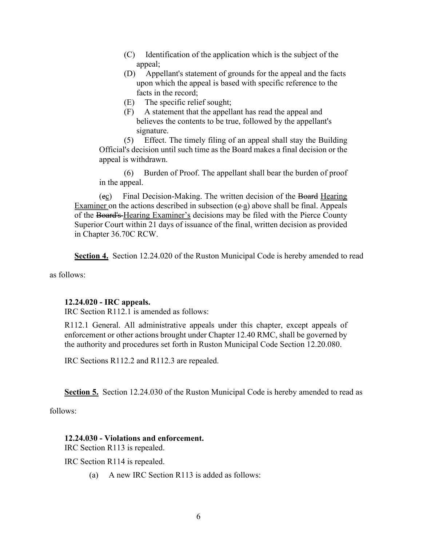- (C) Identification of the application which is the subject of the appeal;
- (D) Appellant's statement of grounds for the appeal and the facts upon which the appeal is based with specific reference to the facts in the record;
- (E) The specific relief sought;
- (F) A statement that the appellant has read the appeal and believes the contents to be true, followed by the appellant's signature.

(5) Effect. The timely filing of an appeal shall stay the Building Official's decision until such time as the Board makes a final decision or the appeal is withdrawn.

(6) Burden of Proof. The appellant shall bear the burden of proof in the appeal.

(ec) Final Decision-Making. The written decision of the Board Hearing Examiner on the actions described in subsection  $(e-a)$  above shall be final. Appeals of the Board's Hearing Examiner's decisions may be filed with the Pierce County Superior Court within 21 days of issuance of the final, written decision as provided in Chapter 36.70C RCW.

**Section 4.** Section 12.24.020 of the Ruston Municipal Code is hereby amended to read

as follows:

### **12.24.020 - IRC appeals.**

IRC Section R112.1 is amended as follows:

R112.1 General. All administrative appeals under this chapter, except appeals of enforcement or other actions brought under Chapter 12.40 RMC, shall be governed by the authority and procedures set forth in Ruston Municipal Code Section 12.20.080.

IRC Sections R112.2 and R112.3 are repealed.

**Section 5.** Section 12.24.030 of the Ruston Municipal Code is hereby amended to read as

follows:

### **12.24.030 - Violations and enforcement.**

IRC Section R113 is repealed.

IRC Section R114 is repealed.

(a) A new IRC Section R113 is added as follows: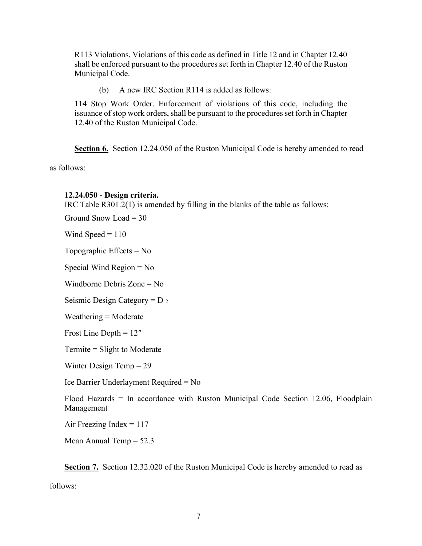R113 Violations. Violations of this code as defined in Title 12 and in Chapter 12.40 shall be enforced pursuant to the procedures set forth in Chapter 12.40 of the Ruston Municipal Code.

(b) A new IRC Section R114 is added as follows:

114 Stop Work Order. Enforcement of violations of this code, including the issuance of stop work orders, shall be pursuant to the procedures set forth in Chapter 12.40 of the Ruston Municipal Code.

**Section 6.** Section 12.24.050 of the Ruston Municipal Code is hereby amended to read

as follows:

#### **12.24.050 - Design criteria.**

IRC Table R301.2(1) is amended by filling in the blanks of the table as follows:

Ground Snow Load  $=$  30

Wind Speed  $= 110$ 

Topographic Effects  $= No$ 

Special Wind Region = No

Windborne Debris Zone = No

Seismic Design Category =  $D_2$ 

 $Weathering = Moderate$ 

Frost Line Depth = 12″

Termite = Slight to Moderate

Winter Design Temp = 29

Ice Barrier Underlayment Required = No

Flood Hazards = In accordance with Ruston Municipal Code Section 12.06, Floodplain Management

Air Freezing Index  $= 117$ 

Mean Annual Temp  $= 52.3$ 

Section 7. Section 12.32.020 of the Ruston Municipal Code is hereby amended to read as follows: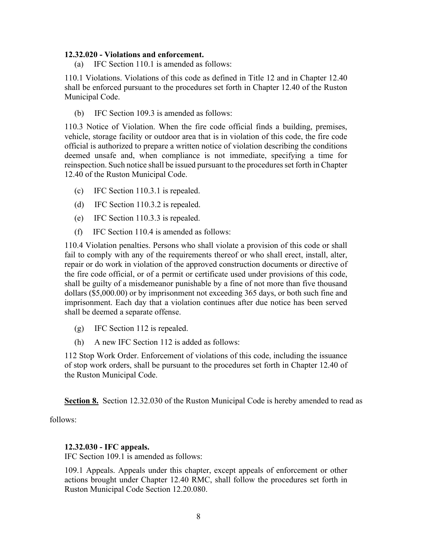#### **12.32.020 - Violations and enforcement.**

(a) IFC Section 110.1 is amended as follows:

110.1 Violations. Violations of this code as defined in Title 12 and in Chapter 12.40 shall be enforced pursuant to the procedures set forth in Chapter 12.40 of the Ruston Municipal Code.

(b) IFC Section 109.3 is amended as follows:

110.3 Notice of Violation. When the fire code official finds a building, premises, vehicle, storage facility or outdoor area that is in violation of this code, the fire code official is authorized to prepare a written notice of violation describing the conditions deemed unsafe and, when compliance is not immediate, specifying a time for reinspection. Such notice shall be issued pursuant to the procedures set forth in Chapter 12.40 of the Ruston Municipal Code.

- (c) IFC Section 110.3.1 is repealed.
- (d) IFC Section 110.3.2 is repealed.
- (e) IFC Section 110.3.3 is repealed.
- (f) IFC Section 110.4 is amended as follows:

110.4 Violation penalties. Persons who shall violate a provision of this code or shall fail to comply with any of the requirements thereof or who shall erect, install, alter, repair or do work in violation of the approved construction documents or directive of the fire code official, or of a permit or certificate used under provisions of this code, shall be guilty of a misdemeanor punishable by a fine of not more than five thousand dollars (\$5,000.00) or by imprisonment not exceeding 365 days, or both such fine and imprisonment. Each day that a violation continues after due notice has been served shall be deemed a separate offense.

- (g) IFC Section 112 is repealed.
- (h) A new IFC Section 112 is added as follows:

112 Stop Work Order. Enforcement of violations of this code, including the issuance of stop work orders, shall be pursuant to the procedures set forth in Chapter 12.40 of the Ruston Municipal Code.

**Section 8.** Section 12.32.030 of the Ruston Municipal Code is hereby amended to read as

follows:

### **12.32.030 - IFC appeals.**

IFC Section 109.1 is amended as follows:

109.1 Appeals. Appeals under this chapter, except appeals of enforcement or other actions brought under Chapter 12.40 RMC, shall follow the procedures set forth in Ruston Municipal Code Section 12.20.080.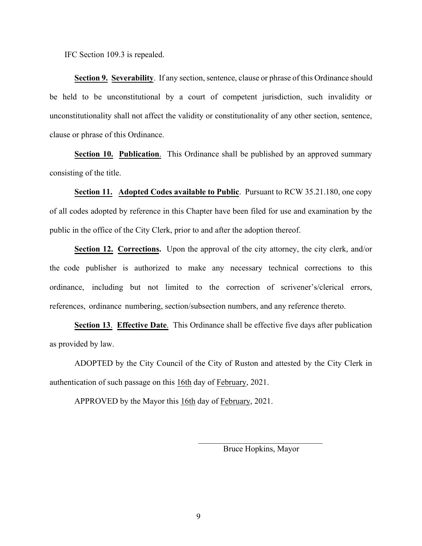IFC Section 109.3 is repealed.

**Section 9. Severability**. If any section, sentence, clause or phrase of this Ordinance should be held to be unconstitutional by a court of competent jurisdiction, such invalidity or unconstitutionality shall not affect the validity or constitutionality of any other section, sentence, clause or phrase of this Ordinance.

**Section 10. Publication**. This Ordinance shall be published by an approved summary consisting of the title.

**Section 11. Adopted Codes available to Public**. Pursuant to RCW 35.21.180, one copy of all codes adopted by reference in this Chapter have been filed for use and examination by the public in the office of the City Clerk, prior to and after the adoption thereof.

**Section 12. Corrections.** Upon the approval of the city attorney, the city clerk, and/or the code publisher is authorized to make any necessary technical corrections to this ordinance, including but not limited to the correction of scrivener's/clerical errors, references, ordinance numbering, section/subsection numbers, and any reference thereto.

**Section 13**. **Effective Date**. This Ordinance shall be effective five days after publication as provided by law.

ADOPTED by the City Council of the City of Ruston and attested by the City Clerk in authentication of such passage on this 16th day of February, 2021.

APPROVED by the Mayor this 16th day of February, 2021.

\_\_\_\_\_\_\_\_\_\_\_\_\_\_\_\_\_\_\_\_\_\_\_\_\_\_\_\_\_\_ Bruce Hopkins, Mayor